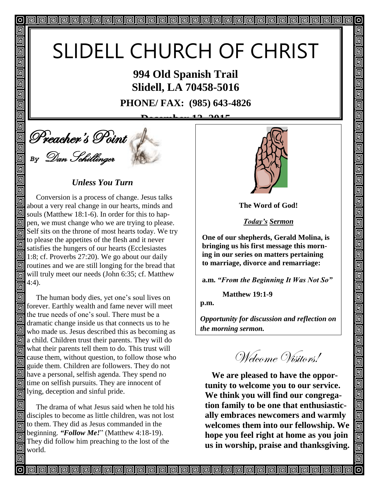# SLIDELL CHURCH OF CHRIST

**994 Old Spanish Trail Slidell, LA 70458-5016**

**PHONE/ FAX: (985) 643-4826**

12, 201



回

回 回 同 回 匠 回

回

回

回

回

同

回

回

### *Unless You Turn*

回 Conversion is a process of change. Jesus talks 同 about a very real change in our hearts, minds and 回 souls (Matthew 18:1-6). In order for this to hap- $\boxed{9}$  pen, we must change who we are trying to please. Self sits on the throne of most hearts today. We try to please the appetites of the flesh and it never satisfies the hungers of our hearts (Ecclesiastes  $\Box$  3. 1:8; cf. Proverbs 27:20). We go about our daily  $\boxed{9}$  routines and we are still longing for the bread that will truly meet our needs (John 6:35; cf. Matthew 4:4). 同

同 The human body dies, yet one's soul lives on forever. Earthly wealth and fame never will meet the true needs of one's soul. There must be a 屙 dramatic change inside us that connects us to he who made us. Jesus described this as becoming as  $\mathbb{Z}$  a child. Children trust their parents. They will do what their parents tell them to do. This trust will cause them, without question, to follow those who 同 guide them. Children are followers. They do not have a personal, selfish agenda. They spend no  $\boxed{9}$  time on selfish pursuits. They are innocent of lying, deception and sinful pride.

 The drama of what Jesus said when he told his disciples to become as little children, was not lost to them. They did as Jesus commanded in the beginning. *"Follow Me!*" (Matthew 4:18-19). They did follow him preaching to the lost of the world.



 $\sigma$ 

回

5

5

5

5

5

5 <u>5</u>  $\overline{\mathbb{G}}$ 回 <u>可</u>

回

回

<u>alai</u>

回回

回

<u>| g g j</u>

<u>s s i</u>

da<br>Die

<u>For</u>

回

**The Word of God!**

*Today's Sermon*

**One of our shepherds, Gerald Molina, is bringing us his first message this morning in our series on matters pertaining to marriage, divorce and remarriage:** 

**a.m.** *"From the Beginning It Was Not So"*

 **Matthew 19:1-9**

**p.m.**

*Opportunity for discussion and reflection on the morning sermon.* 

Welcome Visitors!

**We are pleased to have the opportunity to welcome you to our service. We think you will find our congregation family to be one that enthusiastically embraces newcomers and warmly welcomes them into our fellowship. We hope you feel right at home as you join us in worship, praise and thanksgiving.**

<u>papapapapapapapapapapapapapapapa</u>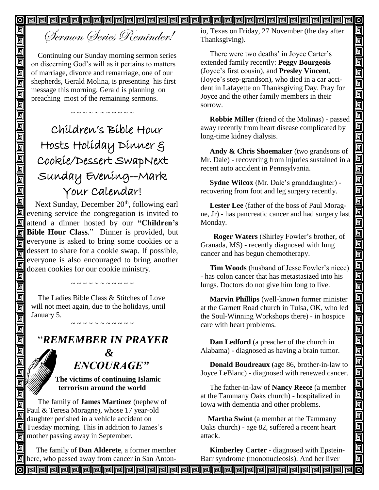0 回

# Sermon Series Reminder!

回

回  $\overline{\overline{\mathsf{g}}}$ 

靣

回

 $\overline{\overline{\mathbb{G}}}$ 回 回 回

回回

00<br>00

 $\overline{\overline{\mathbb{G}}}$ 回 回

同 回

回 回 回 回 同 回

回

回 回

叵 同

回 回

同

Continuing our Sunday morning sermon series on discerning God's will as it pertains to matters of marriage, divorce and remarriage, one of our shepherds, Gerald Molina, is presenting his first message this morning. Gerald is planning on preaching most of the remaining sermons.

~ ~ ~ ~ ~ ~ ~ ~ ~ ~

# Children's Bible Hour Hosts Holiday Dinner & Cookie/Dessert SwapNext Sunday Evening--Mark Your Calendar!

Next Sunday, December 20<sup>th</sup>, following earl **Example 2020** evening service the congregation is invited to attend a dinner hosted by our **"Children's Bible Hour Class.**" Dinner is provided, but everyone is asked to bring some cookies or a dessert to share for a cookie swap. If possible, everyone is also encouraged to bring another dozen cookies for our cookie ministry.

The Ladies Bible Class & Stitches of Love will not meet again, due to the holidays, until January 5.

~~~~~~~~~~

# "*REMEMBER IN PRAYER*

~ ~ ~ ~ ~ ~ ~ ~ ~ ~ ~

# *&* " *ENCOURAGE"*

#### **The victims of continuing Islamic terrorism around the world**

The family of **James Martinez** (nephew of Paul & Teresa Moragne), whose 17 year-old daughter perished in a vehicle accident on Tuesday morning. This in addition to James's mother passing away in September.

 The family of **Dan Alderete**, a former member  $\boxed{9}$  here, who passed away from cancer in San Antonio, Texas on Friday, 27 November (the day after Thanksgiving).

 There were two deaths' in Joyce Carter's extended family recently: **Peggy Bourgeois** (Joyce's first cousin), and **Presley Vincent**, (Joyce's step-grandson), who died in a car accident in Lafayette on Thanksgiving Day. Pray for Joyce and the other family members in their sorrow.

 **Robbie Miller** (friend of the Molinas) - passed away recently from heart disease complicated by long-time kidney dialysis.

 **Andy & Chris Shoemaker** (two grandsons of Mr. Dale) - recovering from injuries sustained in a recent auto accident in Pennsylvania.

 **Sydne Wilcox** (Mr. Dale's granddaughter) recovering from foot and leg surgery recently.

 **Lester Lee** (father of the boss of Paul Moragne, Jr) - has pancreatic cancer and had surgery last Monday.

 **Roger Waters** (Shirley Fowler's brother, of Granada, MS) - recently diagnosed with lung cancer and has begun chemotherapy.

 **Tim Woods** (husband of Jesse Fowler's niece) - has colon cancer that has metastasized into his lungs. Doctors do not give him long to live.

 **Marvin Phillips** (well-known former minister at the Garnett Road church in Tulsa, OK, who led the Soul-Winning Workshops there) - in hospice care with heart problems.

 **Dan Ledford** (a preacher of the church in Alabama) - diagnosed as having a brain tumor.

 **Donald Boudreaux** (age 86, brother-in-law to Joyce LeBlanc) - diagnosed with renewed cancer.

 The father-in-law of **Nancy Reece** (a member at the Tammany Oaks church) - hospitalized in Iowa with dementia and other problems.

 **Martha Swint** (a member at the Tammany Oaks church) - age 82, suffered a recent heart attack.

 **Kimberley Carter** - diagnosed with Epstein-Barr syndrome (mononucleosis). And her liver

**Propopopopopopopopopopopopopopopo** ව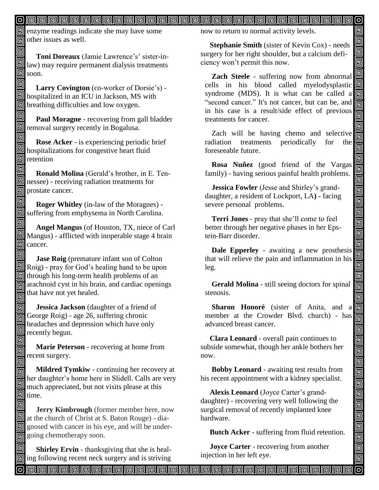### <u>o popopopopopopopopopopopopopopopopop</u>

**E** enzyme readings indicate she may have some  $\overline{m}$  other issues as well.

回

回

同

 **Toni Doreaux** (Jamie Lawrence's' sister-in- $\Box$  law) may require permanent dialysis treatments  $\overline{\mathbf{g}}$  soon.

回  **Larry Covington** (co-worker of Dorsie's) -  $\Box$  hospitalized in an ICU in Jackson, MS with **D** breathing difficulties and low oxygen.

回 **Paul Moragne** - recovering from gall bladder removal surgery recently in Bogalusa.

回  **Rose Acker** - is experiencing periodic brief hospitalizations for congestive heart fluid  $\overline{\mathbb{S}}$  retention

回  **Ronald Molina** (Gerald's brother, in E. Tennessee) - receiving radiation treatments for **o** prostate cancer.

回  **Roger Whitley** (in-law of the Moragnes) suffering from emphysema in North Carolina.

同  **Angel Mangus** (of Houston, TX, niece of Carl Mangus) - afflicted with inoperable stage 4 brain  $\Box$  cancer.

回 **Jase Roig** (premature infant son of Colton  $\boxed{\blacksquare}$  Roig) - pray for God's healing hand to be upon  $\boxed{9}$  through his long-term health problems of an  $\overline{\overline{\mathbb{G}}}$  arachnoid cyst in his brain, and cardiac openings  $\frac{1}{\sqrt{2}}$  that have not yet healed.

同  **Jessica Jackson** (daughter of a friend of George Roig) - age 26, suffering chronic 同 headaches and depression which have only 団 recently begun. 回

 **Marie Peterson** - recovering at home from recent surgery.

回 **Mildred Tymkiw** - continuing her recovery at 同 her daughter's home here in Slidell. Calls are very 回 much appreciated, but not visits please at this  $\textcolor{red}{\blacksquare}$ time.

回  **Jerry Kimbrough** (former member here, now at the church of Christ at S. Baton Rouge) - diagnosed with cancer in his eye, and will be undergoing chemotherapy soon. Î

 **Shirley Ervin** - thanksgiving that she is heal**ing following recent neck surgery and is striving**  now to return to normal activity levels.

 **Stephanie Smith** (sister of Kevin Cox) - needs surgery for her right shoulder, but a calcium deficiency won't permit this now.

 $\circ$ 回 回 回

回 回 回

回

<u>alai</u>

 $\overline{\mathbb{F}}$ 

<u>iaia</u>

 $\blacksquare$ 

واواواواواواواواواواواواوا

画

واواواواواواواواواوا

回回回

回

**Zach Steele** - suffering now from abnormal cells in his blood called myelodysplastic syndrome (MDS). It is what can be called a "second cancer." It's not cancer, but can be, and in his case is a result/side effect of previous treatments for cancer.

Zach will be having chemo and selective radiation treatments periodically for the foreseeable future.

**Rosa Nuñez** (good friend of the Vargas family) - having serious painful health problems.

**Jessica Fowler** (Jesse and Shirley's granddaughter, a resident of Lockport, LA**) -** facing severe personal problems.

**Terri Jones** - pray that she'll come to feel better through her negative phases in her Epstein-Barr disorder.

**Dale Epperley** - awaiting a new prosthesis that will relieve the pain and inflammation in his leg.

**Gerald Molina** - still seeing doctors for spinal stenosis.

**Sharon Honoré** (sister of Anita, and a member at the Crowder Blvd. church) - has advanced breast cancer.

 **Clara Leonard** - overall pain continues to subside somewhat, though her ankle bothers her now.

 **Bobby Leonard** - awaiting test results from his recent appointment with a kidney specialist.

 **Alexis Leonard** (Joyce Carter's granddaughter) - recovering very well following the surgical removal of recently implanted knee hardware.

 **Butch Acker** - suffering from fluid retention.

 **Joyce Carter** - recovering from another injection in her left eye.